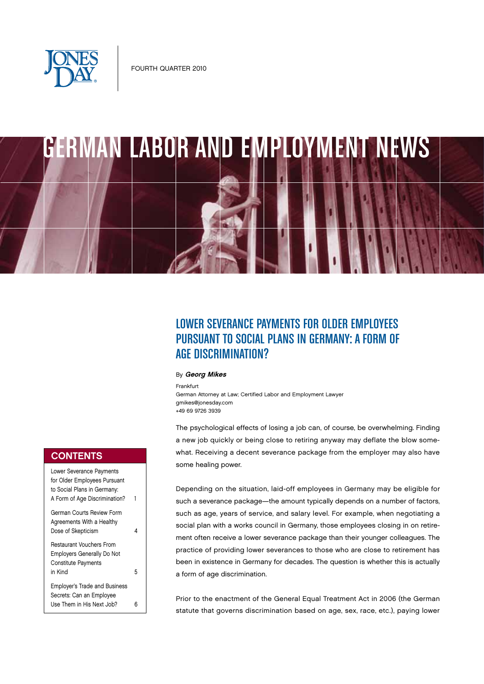



# LOWER SEVERANCE PAYMENTS FOR OLDER EMPLOYEES PURSUANT TO SOCIAL PLANS IN GERMANY: A FORM OF AGE DISCRIMINATION?

## **By Georg Mikes**

Frankfurt

German Attorney at Law; Certified Labor and Employment Lawyer gmikes@jonesday.com +49 69 9726 3939

The psychological effects of losing a job can, of course, be overwhelming. Finding a new job quickly or being close to retiring anyway may deflate the blow somewhat. Receiving a decent severance package from the employer may also have some healing power.

Depending on the situation, laid-off employees in Germany may be eligible for such a severance package—the amount typically depends on a number of factors, such as age, years of service, and salary level. For example, when negotiating a social plan with a works council in Germany, those employees closing in on retirement often receive a lower severance package than their younger colleagues. The practice of providing lower severances to those who are close to retirement has been in existence in Germany for decades. The question is whether this is actually a form of age discrimination.

Prior to the enactment of the General Equal Treatment Act in 2006 (the German statute that governs discrimination based on age, sex, race, etc.), paying lower

## **CONTENTS**

| Lower Severance Payments<br>for Older Employees Pursuant<br>to Social Plans in Germany:<br>A Form of Age Discrimination? | 1 |
|--------------------------------------------------------------------------------------------------------------------------|---|
| German Courts Review Form<br>Agreements With a Healthy<br>Dose of Skepticism                                             | 4 |
| Restaurant Vouchers From<br><b>Employers Generally Do Not</b><br><b>Constitute Payments</b><br>in Kind                   | 5 |
| <b>Employer's Trade and Business</b><br>Secrets: Can an Employee<br>Use Them in His Next Job?                            |   |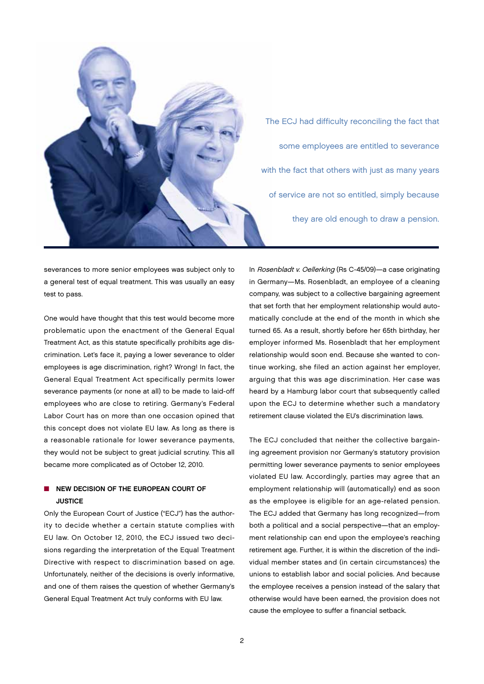

The ECJ had difficulty reconciling the fact that some employees are entitled to severance with the fact that others with just as many years of service are not so entitled, simply because they are old enough to draw a pension.

severances to more senior employees was subject only to a general test of equal treatment. This was usually an easy test to pass.

One would have thought that this test would become more problematic upon the enactment of the General Equal Treatment Act, as this statute specifically prohibits age discrimination. Let's face it, paying a lower severance to older employees is age discrimination, right? Wrong! In fact, the General Equal Treatment Act specifically permits lower severance payments (or none at all) to be made to laid-off employees who are close to retiring. Germany's Federal Labor Court has on more than one occasion opined that this concept does not violate EU law. As long as there is a reasonable rationale for lower severance payments, they would not be subject to great judicial scrutiny. This all became more complicated as of October 12, 2010.

## $\blacksquare$  NEW DECISION OF THE EUROPEAN COURT OF **JUSTICE**

Only the European Court of Justice ("ECJ") has the authority to decide whether a certain statute complies with EU law. On October 12, 2010, the ECJ issued two decisions regarding the interpretation of the Equal Treatment Directive with respect to discrimination based on age. Unfortunately, neither of the decisions is overly informative, and one of them raises the question of whether Germany's General Equal Treatment Act truly conforms with EU law.

In Rosenbladt v. Oellerking (Rs C-45/09)—a case originating in Germany—Ms. Rosenbladt, an employee of a cleaning company, was subject to a collective bargaining agreement that set forth that her employment relationship would automatically conclude at the end of the month in which she turned 65. As a result, shortly before her 65th birthday, her employer informed Ms. Rosenbladt that her employment relationship would soon end. Because she wanted to continue working, she filed an action against her employer, arguing that this was age discrimination. Her case was heard by a Hamburg labor court that subsequently called upon the ECJ to determine whether such a mandatory retirement clause violated the EU's discrimination laws.

The ECJ concluded that neither the collective bargaining agreement provision nor Germany's statutory provision permitting lower severance payments to senior employees violated EU law. Accordingly, parties may agree that an employment relationship will (automatically) end as soon as the employee is eligible for an age-related pension. The ECJ added that Germany has long recognized—from both a political and a social perspective—that an employment relationship can end upon the employee's reaching retirement age. Further, it is within the discretion of the individual member states and (in certain circumstances) the unions to establish labor and social policies. And because the employee receives a pension instead of the salary that otherwise would have been earned, the provision does not cause the employee to suffer a financial setback.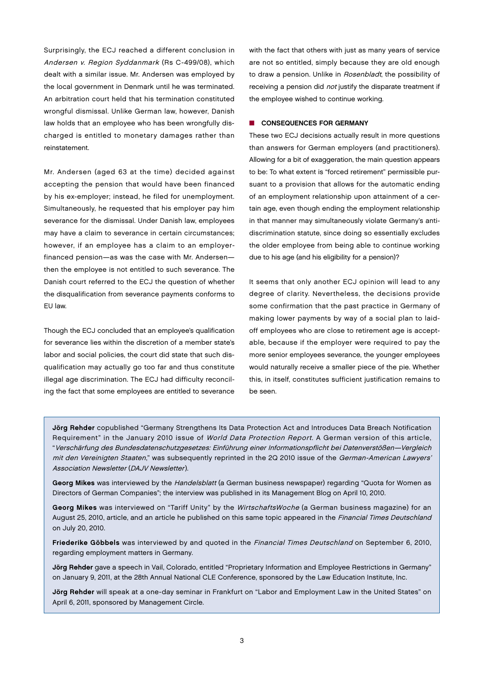Surprisingly, the ECJ reached a different conclusion in Andersen v. Region Syddanmark (Rs C-499/08), which dealt with a similar issue. Mr. Andersen was employed by the local government in Denmark until he was terminated. An arbitration court held that his termination constituted wrongful dismissal. Unlike German law, however, Danish law holds that an employee who has been wrongfully discharged is entitled to monetary damages rather than reinstatement.

Mr. Andersen (aged 63 at the time) decided against accepting the pension that would have been financed by his ex-employer; instead, he filed for unemployment. Simultaneously, he requested that his employer pay him severance for the dismissal. Under Danish law, employees may have a claim to severance in certain circumstances; however, if an employee has a claim to an employerfinanced pension—as was the case with Mr. Andersen then the employee is not entitled to such severance. The Danish court referred to the ECJ the question of whether the disqualification from severance payments conforms to EU law.

Though the ECJ concluded that an employee's qualification for severance lies within the discretion of a member state's labor and social policies, the court did state that such disqualification may actually go too far and thus constitute illegal age discrimination. The ECJ had difficulty reconciling the fact that some employees are entitled to severance

with the fact that others with just as many years of service are not so entitled, simply because they are old enough to draw a pension. Unlike in Rosenbladt, the possibility of receiving a pension did *not* justify the disparate treatment if the employee wished to continue working.

#### $\blacksquare$  CONSEQUENCES FOR GERMANY

These two ECJ decisions actually result in more questions than answers for German employers (and practitioners). Allowing for a bit of exaggeration, the main question appears to be: To what extent is "forced retirement" permissible pursuant to a provision that allows for the automatic ending of an employment relationship upon attainment of a certain age, even though ending the employment relationship in that manner may simultaneously violate Germany's antidiscrimination statute, since doing so essentially excludes the older employee from being able to continue working due to his age (and his eligibility for a pension)?

It seems that only another ECJ opinion will lead to any degree of clarity. Nevertheless, the decisions provide some confirmation that the past practice in Germany of making lower payments by way of a social plan to laidoff employees who are close to retirement age is acceptable, because if the employer were required to pay the more senior employees severance, the younger employees would naturally receive a smaller piece of the pie. Whether this, in itself, constitutes sufficient justification remains to be seen.

Jörg Rehder copublished "Germany Strengthens Its Data Protection Act and Introduces Data Breach Notification Requirement" in the January 2010 issue of World Data Protection Report. A German version of this article, "Verschärfung des Bundesdatenschutzgesetzes: Einführung einer Informationspflicht bei Datenverstößen—Vergleich mit den Vereinigten Staaten," was subsequently reprinted in the 2Q 2010 issue of the German-American Lawyers' Association Newsletter (DAJV Newsletter).

Georg Mikes was interviewed by the Handelsblatt (a German business newspaper) regarding "Quota for Women as Directors of German Companies"; the interview was published in its Management Blog on April 10, 2010.

Georg Mikes was interviewed on "Tariff Unity" by the WirtschaftsWoche (a German business magazine) for an August 25, 2010, article, and an article he published on this same topic appeared in the Financial Times Deutschland on July 20, 2010.

Friederike Göbbels was interviewed by and quoted in the Financial Times Deutschland on September 6, 2010, regarding employment matters in Germany.

Jörg Rehder gave a speech in Vail, Colorado, entitled "Proprietary Information and Employee Restrictions in Germany" on January 9, 2011, at the 28th Annual National CLE Conference, sponsored by the Law Education Institute, Inc.

Jörg Rehder will speak at a one-day seminar in Frankfurt on "Labor and Employment Law in the United States" on April 6, 2011, sponsored by Management Circle.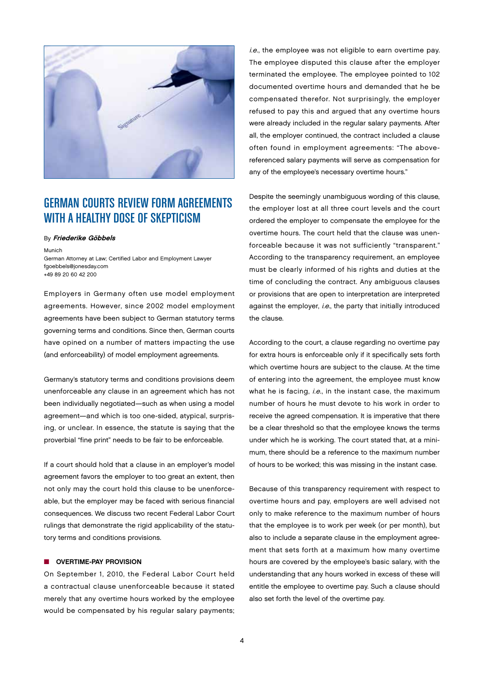

# GERMAN COURTS REVIEW FORM AGREEMENTS WITH A HEALTHY DOSE OF SKEPTICISM

### By Friederike Göbbels

Munich German Attorney at Law; Certified Labor and Employment Lawyer fgoebbels@jonesday.com +49 89 20 60 42 200

Employers in Germany often use model employment agreements. However, since 2002 model employment agreements have been subject to German statutory terms governing terms and conditions. Since then, German courts have opined on a number of matters impacting the use (and enforceability) of model employment agreements.

Germany's statutory terms and conditions provisions deem unenforceable any clause in an agreement which has not been individually negotiated—such as when using a model agreement—and which is too one-sided, atypical, surprising, or unclear. In essence, the statute is saying that the proverbial "fine print" needs to be fair to be enforceable.

If a court should hold that a clause in an employer's model agreement favors the employer to too great an extent, then not only may the court hold this clause to be unenforceable, but the employer may be faced with serious financial consequences. We discuss two recent Federal Labor Court rulings that demonstrate the rigid applicability of the statutory terms and conditions provisions.

#### $\blacksquare$  Overtime-Pay Provision

On September 1, 2010, the Federal Labor Court held a contractual clause unenforceable because it stated merely that any overtime hours worked by the employee would be compensated by his regular salary payments;

i.e., the employee was not eligible to earn overtime pay. The employee disputed this clause after the employer terminated the employee. The employee pointed to 102 documented overtime hours and demanded that he be compensated therefor. Not surprisingly, the employer refused to pay this and argued that any overtime hours were already included in the regular salary payments. After all, the employer continued, the contract included a clause often found in employment agreements: "The abovereferenced salary payments will serve as compensation for any of the employee's necessary overtime hours."

Despite the seemingly unambiguous wording of this clause, the employer lost at all three court levels and the court ordered the employer to compensate the employee for the overtime hours. The court held that the clause was unenforceable because it was not sufficiently "transparent." According to the transparency requirement, an employee must be clearly informed of his rights and duties at the time of concluding the contract. Any ambiguous clauses or provisions that are open to interpretation are interpreted against the employer, i.e., the party that initially introduced the clause.

According to the court, a clause regarding no overtime pay for extra hours is enforceable only if it specifically sets forth which overtime hours are subject to the clause. At the time of entering into the agreement, the employee must know what he is facing, i.e., in the instant case, the maximum number of hours he must devote to his work in order to receive the agreed compensation. It is imperative that there be a clear threshold so that the employee knows the terms under which he is working. The court stated that, at a minimum, there should be a reference to the maximum number of hours to be worked; this was missing in the instant case.

Because of this transparency requirement with respect to overtime hours and pay, employers are well advised not only to make reference to the maximum number of hours that the employee is to work per week (or per month), but also to include a separate clause in the employment agreement that sets forth at a maximum how many overtime hours are covered by the employee's basic salary, with the understanding that any hours worked in excess of these will entitle the employee to overtime pay. Such a clause should also set forth the level of the overtime pay.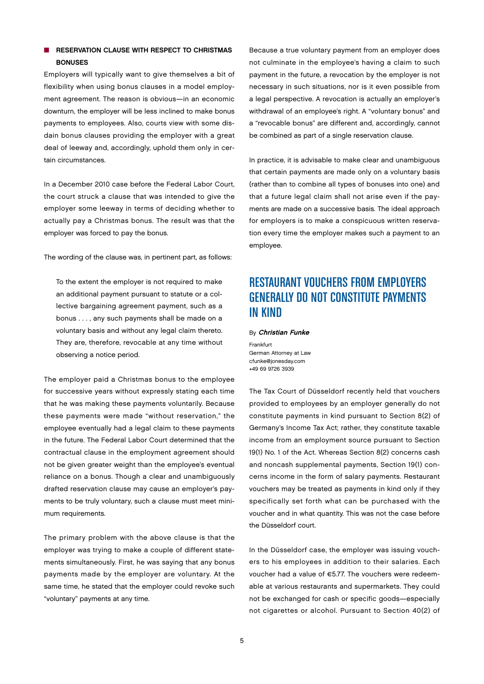## $\blacksquare$  RESERVATION CLAUSE WITH RESPECT TO CHRISTMAS **BONUSES**

Employers will typically want to give themselves a bit of flexibility when using bonus clauses in a model employment agreement. The reason is obvious—in an economic downturn, the employer will be less inclined to make bonus payments to employees. Also, courts view with some disdain bonus clauses providing the employer with a great deal of leeway and, accordingly, uphold them only in certain circumstances.

In a December 2010 case before the Federal Labor Court, the court struck a clause that was intended to give the employer some leeway in terms of deciding whether to actually pay a Christmas bonus. The result was that the employer was forced to pay the bonus.

The wording of the clause was, in pertinent part, as follows:

To the extent the employer is not required to make an additional payment pursuant to statute or a collective bargaining agreement payment, such as a bonus . . . , any such payments shall be made on a voluntary basis and without any legal claim thereto. They are, therefore, revocable at any time without observing a notice period.

The employer paid a Christmas bonus to the employee for successive years without expressly stating each time that he was making these payments voluntarily. Because these payments were made "without reservation," the employee eventually had a legal claim to these payments in the future. The Federal Labor Court determined that the contractual clause in the employment agreement should not be given greater weight than the employee's eventual reliance on a bonus. Though a clear and unambiguously drafted reservation clause may cause an employer's payments to be truly voluntary, such a clause must meet minimum requirements.

The primary problem with the above clause is that the employer was trying to make a couple of different statements simultaneously. First, he was saying that any bonus payments made by the employer are voluntary. At the same time, he stated that the employer could revoke such "voluntary" payments at any time.

Because a true voluntary payment from an employer does not culminate in the employee's having a claim to such payment in the future, a revocation by the employer is not necessary in such situations, nor is it even possible from a legal perspective. A revocation is actually an employer's withdrawal of an employee's right. A "voluntary bonus" and a "revocable bonus" are different and, accordingly, cannot be combined as part of a single reservation clause.

In practice, it is advisable to make clear and unambiguous that certain payments are made only on a voluntary basis (rather than to combine all types of bonuses into one) and that a future legal claim shall not arise even if the payments are made on a successive basis. The ideal approach for employers is to make a conspicuous written reservation every time the employer makes such a payment to an employee.

# RESTAURANT VOUCHERS FROM EMPLOYERS GENERALLY DO NOT CONSTITUTE PAYMENTS IN KIND

By Christian Funke

Frankfurt German Attorney at Law cfunke@jonesday.com +49 69 9726 3939

The Tax Court of Düsseldorf recently held that vouchers provided to employees by an employer generally do not constitute payments in kind pursuant to Section 8(2) of Germany's Income Tax Act; rather, they constitute taxable income from an employment source pursuant to Section 19(1) No. 1 of the Act. Whereas Section 8(2) concerns cash and noncash supplemental payments, Section 19(1) concerns income in the form of salary payments. Restaurant vouchers may be treated as payments in kind only if they specifically set forth what can be purchased with the voucher and in what quantity. This was not the case before the Düsseldorf court.

In the Düsseldorf case, the employer was issuing vouchers to his employees in addition to their salaries. Each voucher had a value of €5.77. The vouchers were redeemable at various restaurants and supermarkets. They could not be exchanged for cash or specific goods—especially not cigarettes or alcohol. Pursuant to Section 40(2) of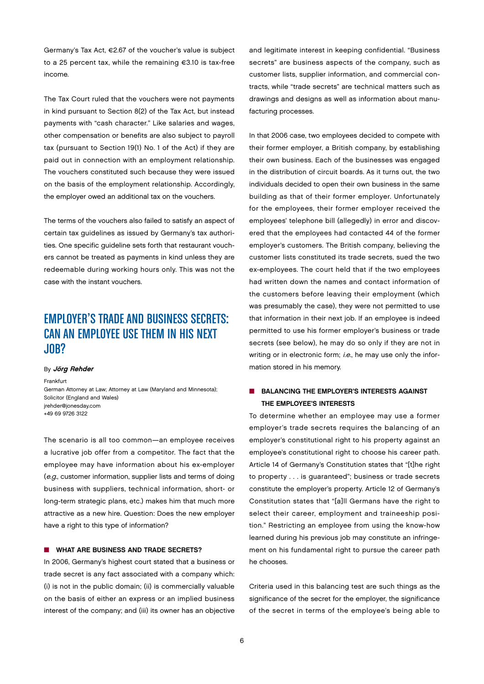Germany's Tax Act, €2.67 of the voucher's value is subject to a 25 percent tax, while the remaining €3.10 is tax-free income.

The Tax Court ruled that the vouchers were not payments in kind pursuant to Section 8(2) of the Tax Act, but instead payments with "cash character." Like salaries and wages, other compensation or benefits are also subject to payroll tax (pursuant to Section 19(1) No. 1 of the Act) if they are paid out in connection with an employment relationship. The vouchers constituted such because they were issued on the basis of the employment relationship. Accordingly, the employer owed an additional tax on the vouchers.

The terms of the vouchers also failed to satisfy an aspect of certain tax guidelines as issued by Germany's tax authorities. One specific guideline sets forth that restaurant vouchers cannot be treated as payments in kind unless they are redeemable during working hours only. This was not the case with the instant vouchers.

# EMPLOYER'S TRADE AND BUSINESS SECRETS: CAN AN EMPLOYEE USE THEM IN HIS NEXT JOB?

#### By Jörg Rehder

Frankfurt German Attorney at Law; Attorney at Law (Maryland and Minnesota); Solicitor (England and Wales) jrehder@jonesday.com +49 69 9726 3122

The scenario is all too common—an employee receives a lucrative job offer from a competitor. The fact that the employee may have information about his ex-employer (e.g., customer information, supplier lists and terms of doing business with suppliers, technical information, short- or long-term strategic plans, etc.) makes him that much more attractive as a new hire. Question: Does the new employer have a right to this type of information?

## **N** WHAT ARE BUSINESS AND TRADE SECRETS?

In 2006, Germany's highest court stated that a business or trade secret is any fact associated with a company which: (i) is not in the public domain; (ii) is commercially valuable on the basis of either an express or an implied business interest of the company; and (iii) its owner has an objective and legitimate interest in keeping confidential. "Business secrets" are business aspects of the company, such as customer lists, supplier information, and commercial contracts, while "trade secrets" are technical matters such as drawings and designs as well as information about manufacturing processes.

In that 2006 case, two employees decided to compete with their former employer, a British company, by establishing their own business. Each of the businesses was engaged in the distribution of circuit boards. As it turns out, the two individuals decided to open their own business in the same building as that of their former employer. Unfortunately for the employees, their former employer received the employees' telephone bill (allegedly) in error and discovered that the employees had contacted 44 of the former employer's customers. The British company, believing the customer lists constituted its trade secrets, sued the two ex-employees. The court held that if the two employees had written down the names and contact information of the customers before leaving their employment (which was presumably the case), they were not permitted to use that information in their next job. If an employee is indeed permitted to use his former employer's business or trade secrets (see below), he may do so only if they are not in writing or in electronic form; i.e., he may use only the information stored in his memory.

## **N** BALANCING THE EMPLOYER'S INTERESTS AGAINST the Employee's Interests

To determine whether an employee may use a former employer's trade secrets requires the balancing of an employer's constitutional right to his property against an employee's constitutional right to choose his career path. Article 14 of Germany's Constitution states that "[t]he right to property . . . is guaranteed"; business or trade secrets constitute the employer's property. Article 12 of Germany's Constitution states that "[a]ll Germans have the right to select their career, employment and traineeship position." Restricting an employee from using the know-how learned during his previous job may constitute an infringement on his fundamental right to pursue the career path he chooses.

Criteria used in this balancing test are such things as the significance of the secret for the employer, the significance of the secret in terms of the employee's being able to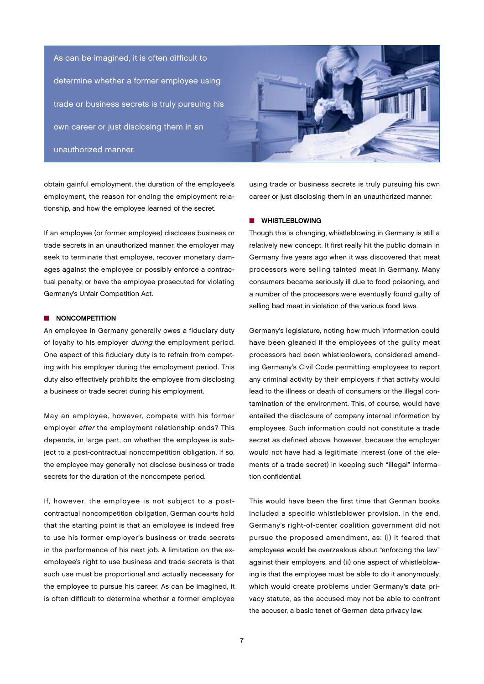As can be imagined, it is often difficult to determine whether a former employee using trade or business secrets is truly pursuing his own career or just disclosing them in an unauthorized manner.



obtain gainful employment, the duration of the employee's employment, the reason for ending the employment relationship, and how the employee learned of the secret.

If an employee (or former employee) discloses business or trade secrets in an unauthorized manner, the employer may seek to terminate that employee, recover monetary damages against the employee or possibly enforce a contractual penalty, or have the employee prosecuted for violating Germany's Unfair Competition Act.

### $\blacksquare$  NONCOMPETITION

An employee in Germany generally owes a fiduciary duty of loyalty to his employer during the employment period. One aspect of this fiduciary duty is to refrain from competing with his employer during the employment period. This duty also effectively prohibits the employee from disclosing a business or trade secret during his employment.

May an employee, however, compete with his former employer after the employment relationship ends? This depends, in large part, on whether the employee is subject to a post-contractual noncompetition obligation. If so, the employee may generally not disclose business or trade secrets for the duration of the noncompete period.

If, however, the employee is not subject to a postcontractual noncompetition obligation, German courts hold that the starting point is that an employee is indeed free to use his former employer's business or trade secrets in the performance of his next job. A limitation on the exemployee's right to use business and trade secrets is that such use must be proportional and actually necessary for the employee to pursue his career. As can be imagined, it is often difficult to determine whether a former employee

using trade or business secrets is truly pursuing his own career or just disclosing them in an unauthorized manner.

#### $\blacksquare$  WHISTLEBLOWING

Though this is changing, whistleblowing in Germany is still a relatively new concept. It first really hit the public domain in Germany five years ago when it was discovered that meat processors were selling tainted meat in Germany. Many consumers became seriously ill due to food poisoning, and a number of the processors were eventually found guilty of selling bad meat in violation of the various food laws.

Germany's legislature, noting how much information could have been gleaned if the employees of the guilty meat processors had been whistleblowers, considered amending Germany's Civil Code permitting employees to report any criminal activity by their employers if that activity would lead to the illness or death of consumers or the illegal contamination of the environment. This, of course, would have entailed the disclosure of company internal information by employees. Such information could not constitute a trade secret as defined above, however, because the employer would not have had a legitimate interest (one of the elements of a trade secret) in keeping such "illegal" information confidential.

This would have been the first time that German books included a specific whistleblower provision. In the end, Germany's right-of-center coalition government did not pursue the proposed amendment, as: (i) it feared that employees would be overzealous about "enforcing the law" against their employers, and (ii) one aspect of whistleblowing is that the employee must be able to do it anonymously, which would create problems under Germany's data privacy statute, as the accused may not be able to confront the accuser, a basic tenet of German data privacy law.